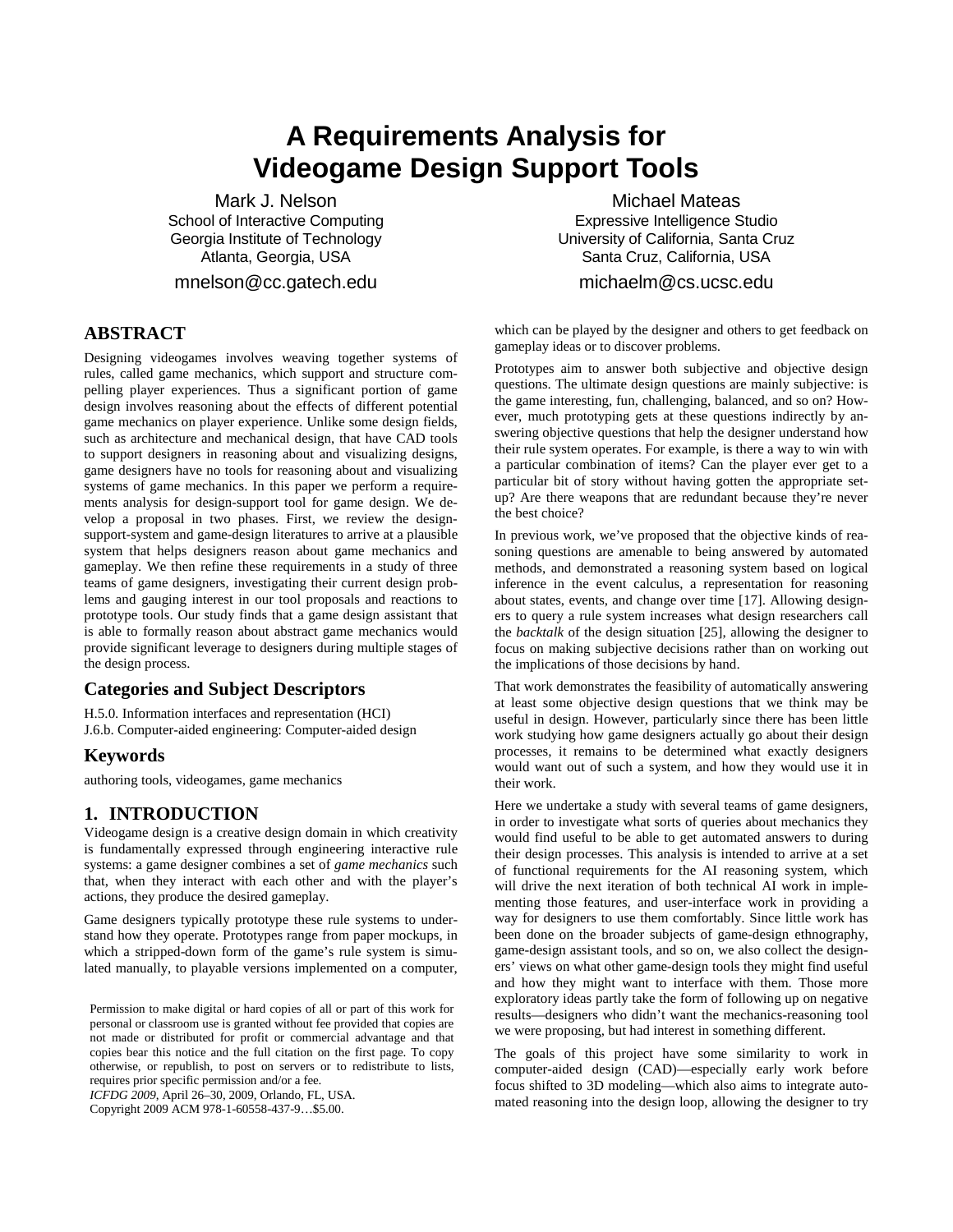# **A Requirements Analysis for Videogame Design Support Tools**

Mark J. Nelson School of Interactive Computing Georgia Institute of Technology Atlanta, Georgia, USA

mnelson@cc.gatech.edu

# **ABSTRACT**

Designing videogames involves weaving together systems of rules, called game mechanics, which support and structure compelling player experiences. Thus a significant portion of game design involves reasoning about the effects of different potential game mechanics on player experience. Unlike some design fields, such as architecture and mechanical design, that have CAD tools to support designers in reasoning about and visualizing designs, game designers have no tools for reasoning about and visualizing systems of game mechanics. In this paper we perform a requirements analysis for design-support tool for game design. We develop a proposal in two phases. First, we review the designsupport-system and game-design literatures to arrive at a plausible system that helps designers reason about game mechanics and gameplay. We then refine these requirements in a study of three teams of game designers, investigating their current design problems and gauging interest in our tool proposals and reactions to prototype tools. Our study finds that a game design assistant that is able to formally reason about abstract game mechanics would provide significant leverage to designers during multiple stages of the design process.

#### **Categories and Subject Descriptors**

H.5.0. Information interfaces and representation (HCI) J.6.b. Computer-aided engineering: Computer-aided design

## **Keywords**

authoring tools, videogames, game mechanics

## **1. INTRODUCTION**

Videogame design is a creative design domain in which creativity is fundamentally expressed through engineering interactive rule systems: a game designer combines a set of *game mechanics* such that, when they interact with each other and with the player's actions, they produce the desired gameplay.

Game designers typically prototype these rule systems to understand how they operate. Prototypes range from paper mockups, in which a stripped-down form of the game's rule system is simulated manually, to playable versions implemented on a computer,

*ICFDG 2009*, April 26–30, 2009, Orlando, FL, USA.

Copyright 2009 ACM 978-1-60558-437-9…\$5.00.

Michael Mateas Expressive Intelligence Studio University of California, Santa Cruz Santa Cruz, California, USA

michaelm@cs.ucsc.edu

which can be played by the designer and others to get feedback on gameplay ideas or to discover problems.

Prototypes aim to answer both subjective and objective design questions. The ultimate design questions are mainly subjective: is the game interesting, fun, challenging, balanced, and so on? However, much prototyping gets at these questions indirectly by answering objective questions that help the designer understand how their rule system operates. For example, is there a way to win with a particular combination of items? Can the player ever get to a particular bit of story without having gotten the appropriate setup? Are there weapons that are redundant because they're never the best choice?

In previous work, we've proposed that the objective kinds of reasoning questions are amenable to being answered by automated methods, and demonstrated a reasoning system based on logical inference in the event calculus, a representation for reasoning about states, events, and change over time [17]. Allowing designers to query a rule system increases what design researchers call the *backtalk* of the design situation [25], allowing the designer to focus on making subjective decisions rather than on working out the implications of those decisions by hand.

That work demonstrates the feasibility of automatically answering at least some objective design questions that we think may be useful in design. However, particularly since there has been little work studying how game designers actually go about their design processes, it remains to be determined what exactly designers would want out of such a system, and how they would use it in their work.

Here we undertake a study with several teams of game designers, in order to investigate what sorts of queries about mechanics they would find useful to be able to get automated answers to during their design processes. This analysis is intended to arrive at a set of functional requirements for the AI reasoning system, which will drive the next iteration of both technical AI work in implementing those features, and user-interface work in providing a way for designers to use them comfortably. Since little work has been done on the broader subjects of game-design ethnography, game-design assistant tools, and so on, we also collect the designers' views on what other game-design tools they might find useful and how they might want to interface with them. Those more exploratory ideas partly take the form of following up on negative results—designers who didn't want the mechanics-reasoning tool we were proposing, but had interest in something different.

The goals of this project have some similarity to work in computer-aided design (CAD)—especially early work before focus shifted to 3D modeling—which also aims to integrate automated reasoning into the design loop, allowing the designer to try

Permission to make digital or hard copies of all or part of this work for personal or classroom use is granted without fee provided that copies are not made or distributed for profit or commercial advantage and that copies bear this notice and the full citation on the first page. To copy otherwise, or republish, to post on servers or to redistribute to lists, requires prior specific permission and/or a fee.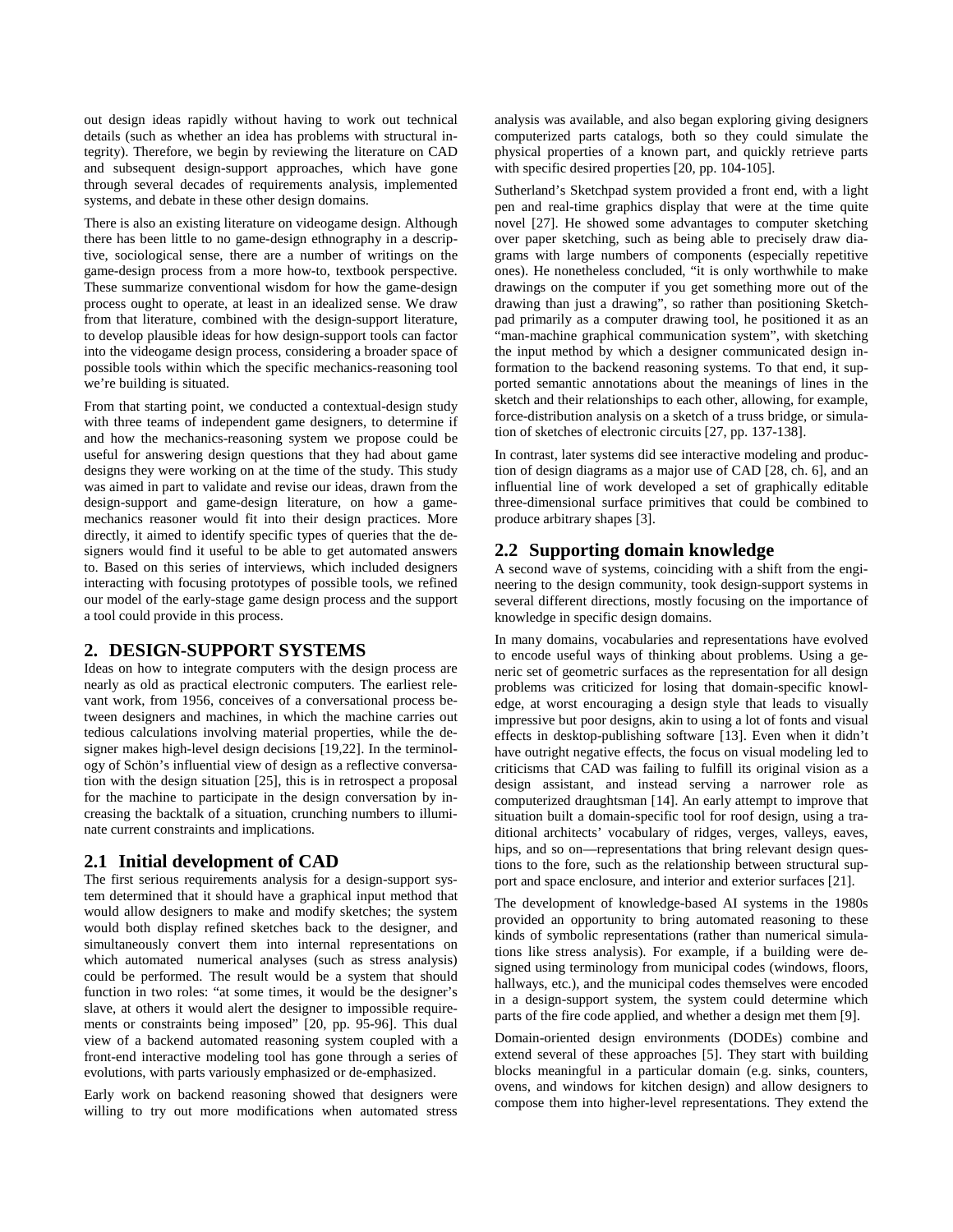out design ideas rapidly without having to work out technical details (such as whether an idea has problems with structural integrity). Therefore, we begin by reviewing the literature on CAD and subsequent design-support approaches, which have gone through several decades of requirements analysis, implemented systems, and debate in these other design domains.

There is also an existing literature on videogame design. Although there has been little to no game-design ethnography in a descriptive, sociological sense, there are a number of writings on the game-design process from a more how-to, textbook perspective. These summarize conventional wisdom for how the game-design process ought to operate, at least in an idealized sense. We draw from that literature, combined with the design-support literature, to develop plausible ideas for how design-support tools can factor into the videogame design process, considering a broader space of possible tools within which the specific mechanics-reasoning tool we're building is situated.

From that starting point, we conducted a contextual-design study with three teams of independent game designers, to determine if and how the mechanics-reasoning system we propose could be useful for answering design questions that they had about game designs they were working on at the time of the study. This study was aimed in part to validate and revise our ideas, drawn from the design-support and game-design literature, on how a gamemechanics reasoner would fit into their design practices. More directly, it aimed to identify specific types of queries that the designers would find it useful to be able to get automated answers to. Based on this series of interviews, which included designers interacting with focusing prototypes of possible tools, we refined our model of the early-stage game design process and the support a tool could provide in this process.

#### **2. DESIGN-SUPPORT SYSTEMS**

Ideas on how to integrate computers with the design process are nearly as old as practical electronic computers. The earliest relevant work, from 1956, conceives of a conversational process between designers and machines, in which the machine carries out tedious calculations involving material properties, while the designer makes high-level design decisions [19,22]. In the terminology of Schön's influential view of design as a reflective conversation with the design situation [25], this is in retrospect a proposal for the machine to participate in the design conversation by increasing the backtalk of a situation, crunching numbers to illuminate current constraints and implications.

## **2.1 Initial development of CAD**

The first serious requirements analysis for a design-support system determined that it should have a graphical input method that would allow designers to make and modify sketches; the system would both display refined sketches back to the designer, and simultaneously convert them into internal representations on which automated numerical analyses (such as stress analysis) could be performed. The result would be a system that should function in two roles: "at some times, it would be the designer's slave, at others it would alert the designer to impossible requirements or constraints being imposed" [20, pp. 95-96]. This dual view of a backend automated reasoning system coupled with a front-end interactive modeling tool has gone through a series of evolutions, with parts variously emphasized or de-emphasized.

Early work on backend reasoning showed that designers were willing to try out more modifications when automated stress

analysis was available, and also began exploring giving designers computerized parts catalogs, both so they could simulate the physical properties of a known part, and quickly retrieve parts with specific desired properties [20, pp. 104-105].

Sutherland's Sketchpad system provided a front end, with a light pen and real-time graphics display that were at the time quite novel [27]. He showed some advantages to computer sketching over paper sketching, such as being able to precisely draw diagrams with large numbers of components (especially repetitive ones). He nonetheless concluded, "it is only worthwhile to make drawings on the computer if you get something more out of the drawing than just a drawing", so rather than positioning Sketchpad primarily as a computer drawing tool, he positioned it as an "man-machine graphical communication system", with sketching the input method by which a designer communicated design information to the backend reasoning systems. To that end, it supported semantic annotations about the meanings of lines in the sketch and their relationships to each other, allowing, for example, force-distribution analysis on a sketch of a truss bridge, or simulation of sketches of electronic circuits [27, pp. 137-138].

In contrast, later systems did see interactive modeling and production of design diagrams as a major use of CAD [28, ch. 6], and an influential line of work developed a set of graphically editable three-dimensional surface primitives that could be combined to produce arbitrary shapes [3].

## **2.2 Supporting domain knowledge**

A second wave of systems, coinciding with a shift from the engineering to the design community, took design-support systems in several different directions, mostly focusing on the importance of knowledge in specific design domains.

In many domains, vocabularies and representations have evolved to encode useful ways of thinking about problems. Using a generic set of geometric surfaces as the representation for all design problems was criticized for losing that domain-specific knowledge, at worst encouraging a design style that leads to visually impressive but poor designs, akin to using a lot of fonts and visual effects in desktop-publishing software [13]. Even when it didn't have outright negative effects, the focus on visual modeling led to criticisms that CAD was failing to fulfill its original vision as a design assistant, and instead serving a narrower role as computerized draughtsman [14]. An early attempt to improve that situation built a domain-specific tool for roof design, using a traditional architects' vocabulary of ridges, verges, valleys, eaves, hips, and so on—representations that bring relevant design questions to the fore, such as the relationship between structural support and space enclosure, and interior and exterior surfaces [21].

The development of knowledge-based AI systems in the 1980s provided an opportunity to bring automated reasoning to these kinds of symbolic representations (rather than numerical simulations like stress analysis). For example, if a building were designed using terminology from municipal codes (windows, floors, hallways, etc.), and the municipal codes themselves were encoded in a design-support system, the system could determine which parts of the fire code applied, and whether a design met them [9].

Domain-oriented design environments (DODEs) combine and extend several of these approaches [5]. They start with building blocks meaningful in a particular domain (e.g. sinks, counters, ovens, and windows for kitchen design) and allow designers to compose them into higher-level representations. They extend the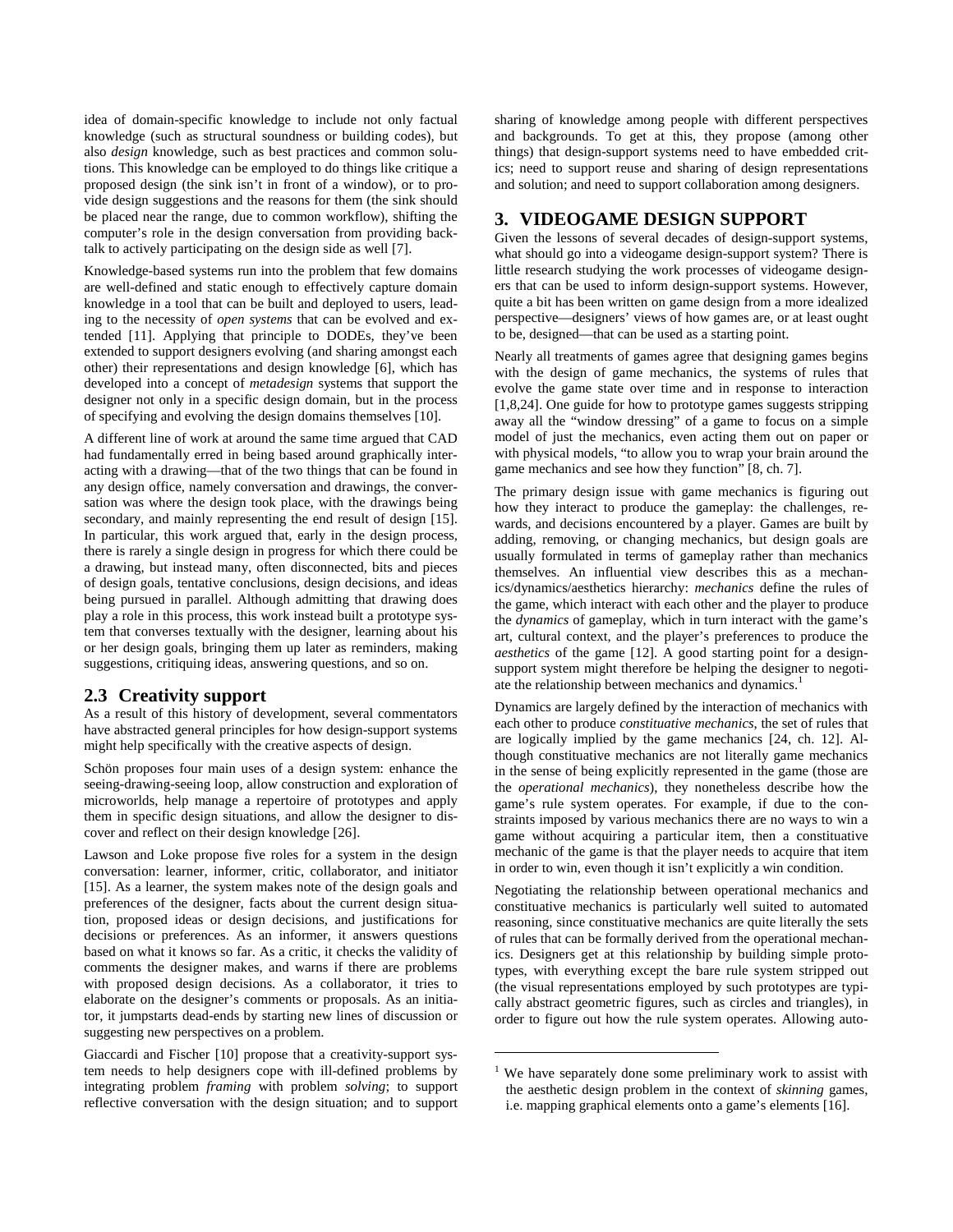idea of domain-specific knowledge to include not only factual knowledge (such as structural soundness or building codes), but also *design* knowledge, such as best practices and common solutions. This knowledge can be employed to do things like critique a proposed design (the sink isn't in front of a window), or to provide design suggestions and the reasons for them (the sink should be placed near the range, due to common workflow), shifting the computer's role in the design conversation from providing backtalk to actively participating on the design side as well [7].

Knowledge-based systems run into the problem that few domains are well-defined and static enough to effectively capture domain knowledge in a tool that can be built and deployed to users, leading to the necessity of *open systems* that can be evolved and extended [11]. Applying that principle to DODEs, they've been extended to support designers evolving (and sharing amongst each other) their representations and design knowledge [6], which has developed into a concept of *metadesign* systems that support the designer not only in a specific design domain, but in the process of specifying and evolving the design domains themselves [10].

A different line of work at around the same time argued that CAD had fundamentally erred in being based around graphically interacting with a drawing—that of the two things that can be found in any design office, namely conversation and drawings, the conversation was where the design took place, with the drawings being secondary, and mainly representing the end result of design [15]. In particular, this work argued that, early in the design process, there is rarely a single design in progress for which there could be a drawing, but instead many, often disconnected, bits and pieces of design goals, tentative conclusions, design decisions, and ideas being pursued in parallel. Although admitting that drawing does play a role in this process, this work instead built a prototype system that converses textually with the designer, learning about his or her design goals, bringing them up later as reminders, making suggestions, critiquing ideas, answering questions, and so on.

#### **2.3 Creativity support**

As a result of this history of development, several commentators have abstracted general principles for how design-support systems might help specifically with the creative aspects of design.

Schön proposes four main uses of a design system: enhance the seeing-drawing-seeing loop, allow construction and exploration of microworlds, help manage a repertoire of prototypes and apply them in specific design situations, and allow the designer to discover and reflect on their design knowledge [26].

Lawson and Loke propose five roles for a system in the design conversation: learner, informer, critic, collaborator, and initiator [15]. As a learner, the system makes note of the design goals and preferences of the designer, facts about the current design situation, proposed ideas or design decisions, and justifications for decisions or preferences. As an informer, it answers questions based on what it knows so far. As a critic, it checks the validity of comments the designer makes, and warns if there are problems with proposed design decisions. As a collaborator, it tries to elaborate on the designer's comments or proposals. As an initiator, it jumpstarts dead-ends by starting new lines of discussion or suggesting new perspectives on a problem.

Giaccardi and Fischer [10] propose that a creativity-support system needs to help designers cope with ill-defined problems by integrating problem *framing* with problem *solving*; to support reflective conversation with the design situation; and to support

sharing of knowledge among people with different perspectives and backgrounds. To get at this, they propose (among other things) that design-support systems need to have embedded critics; need to support reuse and sharing of design representations and solution; and need to support collaboration among designers.

## **3. VIDEOGAME DESIGN SUPPORT**

Given the lessons of several decades of design-support systems, what should go into a videogame design-support system? There is little research studying the work processes of videogame designers that can be used to inform design-support systems. However, quite a bit has been written on game design from a more idealized perspective—designers' views of how games are, or at least ought to be, designed—that can be used as a starting point.

Nearly all treatments of games agree that designing games begins with the design of game mechanics, the systems of rules that evolve the game state over time and in response to interaction [1,8,24]. One guide for how to prototype games suggests stripping away all the "window dressing" of a game to focus on a simple model of just the mechanics, even acting them out on paper or with physical models, "to allow you to wrap your brain around the game mechanics and see how they function" [8, ch. 7].

The primary design issue with game mechanics is figuring out how they interact to produce the gameplay: the challenges, rewards, and decisions encountered by a player. Games are built by adding, removing, or changing mechanics, but design goals are usually formulated in terms of gameplay rather than mechanics themselves. An influential view describes this as a mechanics/dynamics/aesthetics hierarchy: *mechanics* define the rules of the game, which interact with each other and the player to produce the *dynamics* of gameplay, which in turn interact with the game's art, cultural context, and the player's preferences to produce the *aesthetics* of the game [12]. A good starting point for a designsupport system might therefore be helping the designer to negotiate the relationship between mechanics and dynamics. 1

Dynamics are largely defined by the interaction of mechanics with each other to produce *constituative mechanics*, the set of rules that are logically implied by the game mechanics [24, ch. 12]. Although constituative mechanics are not literally game mechanics in the sense of being explicitly represented in the game (those are the *operational mechanics*), they nonetheless describe how the game's rule system operates. For example, if due to the constraints imposed by various mechanics there are no ways to win a game without acquiring a particular item, then a constituative mechanic of the game is that the player needs to acquire that item in order to win, even though it isn't explicitly a win condition.

Negotiating the relationship between operational mechanics and constituative mechanics is particularly well suited to automated reasoning, since constituative mechanics are quite literally the sets of rules that can be formally derived from the operational mechanics. Designers get at this relationship by building simple prototypes, with everything except the bare rule system stripped out (the visual representations employed by such prototypes are typically abstract geometric figures, such as circles and triangles), in order to figure out how the rule system operates. Allowing auto-

1

<sup>&</sup>lt;sup>1</sup> We have separately done some preliminary work to assist with the aesthetic design problem in the context of *skinning* games, i.e. mapping graphical elements onto a game's elements [16].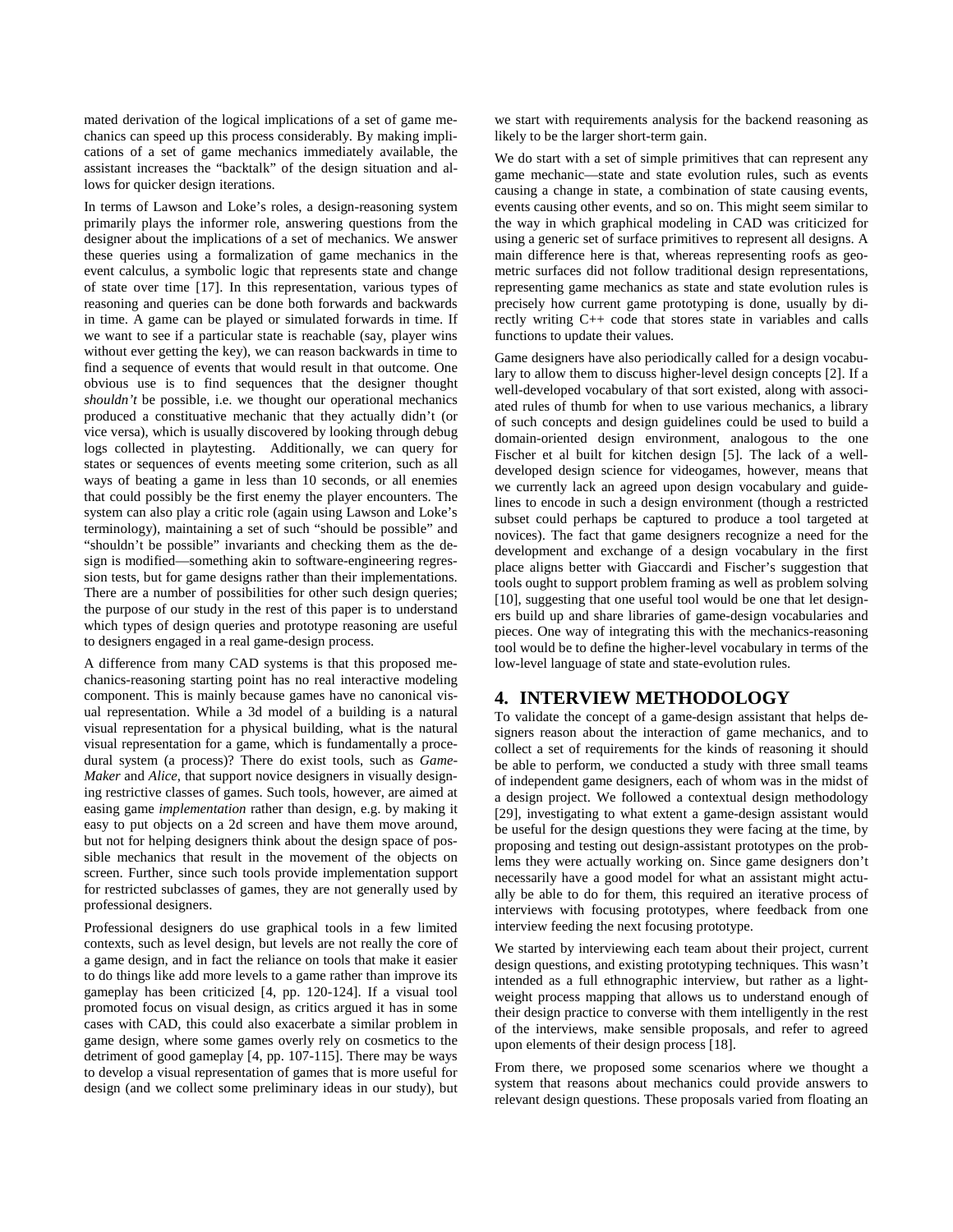mated derivation of the logical implications of a set of game mechanics can speed up this process considerably. By making implications of a set of game mechanics immediately available, the assistant increases the "backtalk" of the design situation and allows for quicker design iterations.

In terms of Lawson and Loke's roles, a design-reasoning system primarily plays the informer role, answering questions from the designer about the implications of a set of mechanics. We answer these queries using a formalization of game mechanics in the event calculus, a symbolic logic that represents state and change of state over time [17]. In this representation, various types of reasoning and queries can be done both forwards and backwards in time. A game can be played or simulated forwards in time. If we want to see if a particular state is reachable (say, player wins without ever getting the key), we can reason backwards in time to find a sequence of events that would result in that outcome. One obvious use is to find sequences that the designer thought *shouldn't* be possible, i.e. we thought our operational mechanics produced a constituative mechanic that they actually didn't (or vice versa), which is usually discovered by looking through debug logs collected in playtesting. Additionally, we can query for states or sequences of events meeting some criterion, such as all ways of beating a game in less than 10 seconds, or all enemies that could possibly be the first enemy the player encounters. The system can also play a critic role (again using Lawson and Loke's terminology), maintaining a set of such "should be possible" and "shouldn't be possible" invariants and checking them as the design is modified—something akin to software-engineering regression tests, but for game designs rather than their implementations. There are a number of possibilities for other such design queries; the purpose of our study in the rest of this paper is to understand which types of design queries and prototype reasoning are useful to designers engaged in a real game-design process.

A difference from many CAD systems is that this proposed mechanics-reasoning starting point has no real interactive modeling component. This is mainly because games have no canonical visual representation. While a 3d model of a building is a natural visual representation for a physical building, what is the natural visual representation for a game, which is fundamentally a procedural system (a process)? There do exist tools, such as *Game-Maker* and *Alice*, that support novice designers in visually designing restrictive classes of games. Such tools, however, are aimed at easing game *implementation* rather than design, e.g. by making it easy to put objects on a 2d screen and have them move around, but not for helping designers think about the design space of possible mechanics that result in the movement of the objects on screen. Further, since such tools provide implementation support for restricted subclasses of games, they are not generally used by professional designers.

Professional designers do use graphical tools in a few limited contexts, such as level design, but levels are not really the core of a game design, and in fact the reliance on tools that make it easier to do things like add more levels to a game rather than improve its gameplay has been criticized [4, pp. 120-124]. If a visual tool promoted focus on visual design, as critics argued it has in some cases with CAD, this could also exacerbate a similar problem in game design, where some games overly rely on cosmetics to the detriment of good gameplay [4, pp. 107-115]. There may be ways to develop a visual representation of games that is more useful for design (and we collect some preliminary ideas in our study), but

we start with requirements analysis for the backend reasoning as likely to be the larger short-term gain.

We do start with a set of simple primitives that can represent any game mechanic—state and state evolution rules, such as events causing a change in state, a combination of state causing events, events causing other events, and so on. This might seem similar to the way in which graphical modeling in CAD was criticized for using a generic set of surface primitives to represent all designs. A main difference here is that, whereas representing roofs as geometric surfaces did not follow traditional design representations, representing game mechanics as state and state evolution rules is precisely how current game prototyping is done, usually by directly writing C++ code that stores state in variables and calls functions to update their values.

Game designers have also periodically called for a design vocabulary to allow them to discuss higher-level design concepts [2]. If a well-developed vocabulary of that sort existed, along with associated rules of thumb for when to use various mechanics, a library of such concepts and design guidelines could be used to build a domain-oriented design environment, analogous to the one Fischer et al built for kitchen design [5]. The lack of a welldeveloped design science for videogames, however, means that we currently lack an agreed upon design vocabulary and guidelines to encode in such a design environment (though a restricted subset could perhaps be captured to produce a tool targeted at novices). The fact that game designers recognize a need for the development and exchange of a design vocabulary in the first place aligns better with Giaccardi and Fischer's suggestion that tools ought to support problem framing as well as problem solving [10], suggesting that one useful tool would be one that let designers build up and share libraries of game-design vocabularies and pieces. One way of integrating this with the mechanics-reasoning tool would be to define the higher-level vocabulary in terms of the low-level language of state and state-evolution rules.

## **4. INTERVIEW METHODOLOGY**

To validate the concept of a game-design assistant that helps designers reason about the interaction of game mechanics, and to collect a set of requirements for the kinds of reasoning it should be able to perform, we conducted a study with three small teams of independent game designers, each of whom was in the midst of a design project. We followed a contextual design methodology [29], investigating to what extent a game-design assistant would be useful for the design questions they were facing at the time, by proposing and testing out design-assistant prototypes on the problems they were actually working on. Since game designers don't necessarily have a good model for what an assistant might actually be able to do for them, this required an iterative process of interviews with focusing prototypes, where feedback from one interview feeding the next focusing prototype.

We started by interviewing each team about their project, current design questions, and existing prototyping techniques. This wasn't intended as a full ethnographic interview, but rather as a lightweight process mapping that allows us to understand enough of their design practice to converse with them intelligently in the rest of the interviews, make sensible proposals, and refer to agreed upon elements of their design process [18].

From there, we proposed some scenarios where we thought a system that reasons about mechanics could provide answers to relevant design questions. These proposals varied from floating an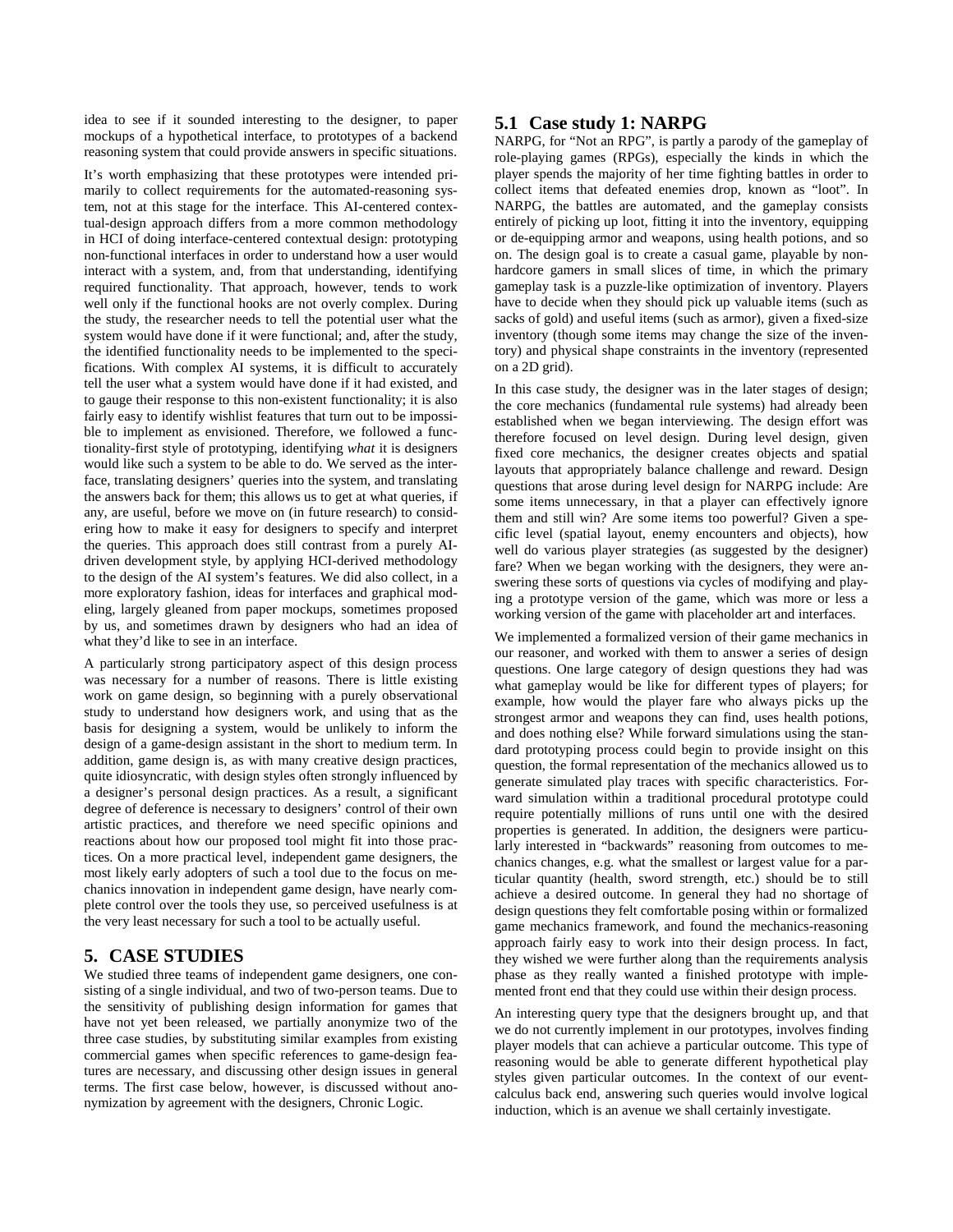idea to see if it sounded interesting to the designer, to paper mockups of a hypothetical interface, to prototypes of a backend reasoning system that could provide answers in specific situations.

It's worth emphasizing that these prototypes were intended primarily to collect requirements for the automated-reasoning system, not at this stage for the interface. This AI-centered contextual-design approach differs from a more common methodology in HCI of doing interface-centered contextual design: prototyping non-functional interfaces in order to understand how a user would interact with a system, and, from that understanding, identifying required functionality. That approach, however, tends to work well only if the functional hooks are not overly complex. During the study, the researcher needs to tell the potential user what the system would have done if it were functional; and, after the study, the identified functionality needs to be implemented to the specifications. With complex AI systems, it is difficult to accurately tell the user what a system would have done if it had existed, and to gauge their response to this non-existent functionality; it is also fairly easy to identify wishlist features that turn out to be impossible to implement as envisioned. Therefore, we followed a functionality-first style of prototyping, identifying *what* it is designers would like such a system to be able to do. We served as the interface, translating designers' queries into the system, and translating the answers back for them; this allows us to get at what queries, if any, are useful, before we move on (in future research) to considering how to make it easy for designers to specify and interpret the queries. This approach does still contrast from a purely AIdriven development style, by applying HCI-derived methodology to the design of the AI system's features. We did also collect, in a more exploratory fashion, ideas for interfaces and graphical modeling, largely gleaned from paper mockups, sometimes proposed by us, and sometimes drawn by designers who had an idea of what they'd like to see in an interface.

A particularly strong participatory aspect of this design process was necessary for a number of reasons. There is little existing work on game design, so beginning with a purely observational study to understand how designers work, and using that as the basis for designing a system, would be unlikely to inform the design of a game-design assistant in the short to medium term. In addition, game design is, as with many creative design practices, quite idiosyncratic, with design styles often strongly influenced by a designer's personal design practices. As a result, a significant degree of deference is necessary to designers' control of their own artistic practices, and therefore we need specific opinions and reactions about how our proposed tool might fit into those practices. On a more practical level, independent game designers, the most likely early adopters of such a tool due to the focus on mechanics innovation in independent game design, have nearly complete control over the tools they use, so perceived usefulness is at the very least necessary for such a tool to be actually useful.

## **5. CASE STUDIES**

We studied three teams of independent game designers, one consisting of a single individual, and two of two-person teams. Due to the sensitivity of publishing design information for games that have not yet been released, we partially anonymize two of the three case studies, by substituting similar examples from existing commercial games when specific references to game-design features are necessary, and discussing other design issues in general terms. The first case below, however, is discussed without anonymization by agreement with the designers, Chronic Logic.

#### **5.1 Case study 1: NARPG**

NARPG, for "Not an RPG", is partly a parody of the gameplay of role-playing games (RPGs), especially the kinds in which the player spends the majority of her time fighting battles in order to collect items that defeated enemies drop, known as "loot". In NARPG, the battles are automated, and the gameplay consists entirely of picking up loot, fitting it into the inventory, equipping or de-equipping armor and weapons, using health potions, and so on. The design goal is to create a casual game, playable by nonhardcore gamers in small slices of time, in which the primary gameplay task is a puzzle-like optimization of inventory. Players have to decide when they should pick up valuable items (such as sacks of gold) and useful items (such as armor), given a fixed-size inventory (though some items may change the size of the inventory) and physical shape constraints in the inventory (represented on a 2D grid).

In this case study, the designer was in the later stages of design; the core mechanics (fundamental rule systems) had already been established when we began interviewing. The design effort was therefore focused on level design. During level design, given fixed core mechanics, the designer creates objects and spatial layouts that appropriately balance challenge and reward. Design questions that arose during level design for NARPG include: Are some items unnecessary, in that a player can effectively ignore them and still win? Are some items too powerful? Given a specific level (spatial layout, enemy encounters and objects), how well do various player strategies (as suggested by the designer) fare? When we began working with the designers, they were answering these sorts of questions via cycles of modifying and playing a prototype version of the game, which was more or less a working version of the game with placeholder art and interfaces.

We implemented a formalized version of their game mechanics in our reasoner, and worked with them to answer a series of design questions. One large category of design questions they had was what gameplay would be like for different types of players; for example, how would the player fare who always picks up the strongest armor and weapons they can find, uses health potions, and does nothing else? While forward simulations using the standard prototyping process could begin to provide insight on this question, the formal representation of the mechanics allowed us to generate simulated play traces with specific characteristics. Forward simulation within a traditional procedural prototype could require potentially millions of runs until one with the desired properties is generated. In addition, the designers were particularly interested in "backwards" reasoning from outcomes to mechanics changes, e.g. what the smallest or largest value for a particular quantity (health, sword strength, etc.) should be to still achieve a desired outcome. In general they had no shortage of design questions they felt comfortable posing within or formalized game mechanics framework, and found the mechanics-reasoning approach fairly easy to work into their design process. In fact, they wished we were further along than the requirements analysis phase as they really wanted a finished prototype with implemented front end that they could use within their design process.

An interesting query type that the designers brought up, and that we do not currently implement in our prototypes, involves finding player models that can achieve a particular outcome. This type of reasoning would be able to generate different hypothetical play styles given particular outcomes. In the context of our eventcalculus back end, answering such queries would involve logical induction, which is an avenue we shall certainly investigate.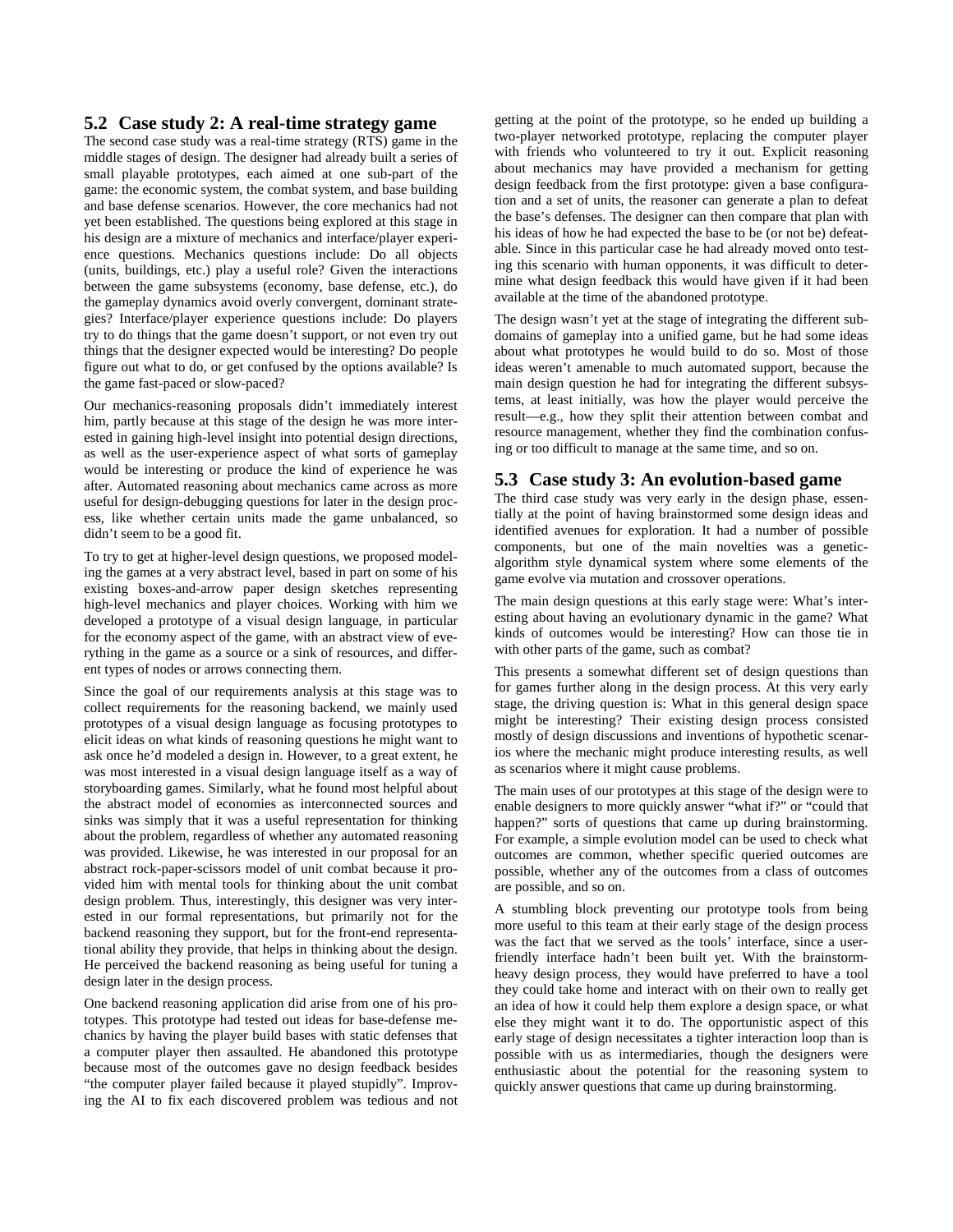#### **5.2 Case study 2: A real-time strategy game**

The second case study was a real-time strategy (RTS) game in the middle stages of design. The designer had already built a series of small playable prototypes, each aimed at one sub-part of the game: the economic system, the combat system, and base building and base defense scenarios. However, the core mechanics had not yet been established. The questions being explored at this stage in his design are a mixture of mechanics and interface/player experience questions. Mechanics questions include: Do all objects (units, buildings, etc.) play a useful role? Given the interactions between the game subsystems (economy, base defense, etc.), do the gameplay dynamics avoid overly convergent, dominant strategies? Interface/player experience questions include: Do players try to do things that the game doesn't support, or not even try out things that the designer expected would be interesting? Do people figure out what to do, or get confused by the options available? Is the game fast-paced or slow-paced?

Our mechanics-reasoning proposals didn't immediately interest him, partly because at this stage of the design he was more interested in gaining high-level insight into potential design directions, as well as the user-experience aspect of what sorts of gameplay would be interesting or produce the kind of experience he was after. Automated reasoning about mechanics came across as more useful for design-debugging questions for later in the design process, like whether certain units made the game unbalanced, so didn't seem to be a good fit.

To try to get at higher-level design questions, we proposed modeling the games at a very abstract level, based in part on some of his existing boxes-and-arrow paper design sketches representing high-level mechanics and player choices. Working with him we developed a prototype of a visual design language, in particular for the economy aspect of the game, with an abstract view of everything in the game as a source or a sink of resources, and different types of nodes or arrows connecting them.

Since the goal of our requirements analysis at this stage was to collect requirements for the reasoning backend, we mainly used prototypes of a visual design language as focusing prototypes to elicit ideas on what kinds of reasoning questions he might want to ask once he'd modeled a design in. However, to a great extent, he was most interested in a visual design language itself as a way of storyboarding games. Similarly, what he found most helpful about the abstract model of economies as interconnected sources and sinks was simply that it was a useful representation for thinking about the problem, regardless of whether any automated reasoning was provided. Likewise, he was interested in our proposal for an abstract rock-paper-scissors model of unit combat because it provided him with mental tools for thinking about the unit combat design problem. Thus, interestingly, this designer was very interested in our formal representations, but primarily not for the backend reasoning they support, but for the front-end representational ability they provide, that helps in thinking about the design. He perceived the backend reasoning as being useful for tuning a design later in the design process.

One backend reasoning application did arise from one of his prototypes. This prototype had tested out ideas for base-defense mechanics by having the player build bases with static defenses that a computer player then assaulted. He abandoned this prototype because most of the outcomes gave no design feedback besides "the computer player failed because it played stupidly". Improving the AI to fix each discovered problem was tedious and not

getting at the point of the prototype, so he ended up building a two-player networked prototype, replacing the computer player with friends who volunteered to try it out. Explicit reasoning about mechanics may have provided a mechanism for getting design feedback from the first prototype: given a base configuration and a set of units, the reasoner can generate a plan to defeat the base's defenses. The designer can then compare that plan with his ideas of how he had expected the base to be (or not be) defeatable. Since in this particular case he had already moved onto testing this scenario with human opponents, it was difficult to determine what design feedback this would have given if it had been available at the time of the abandoned prototype.

The design wasn't yet at the stage of integrating the different subdomains of gameplay into a unified game, but he had some ideas about what prototypes he would build to do so. Most of those ideas weren't amenable to much automated support, because the main design question he had for integrating the different subsystems, at least initially, was how the player would perceive the result—e.g., how they split their attention between combat and resource management, whether they find the combination confusing or too difficult to manage at the same time, and so on.

## **5.3 Case study 3: An evolution-based game**

The third case study was very early in the design phase, essentially at the point of having brainstormed some design ideas and identified avenues for exploration. It had a number of possible components, but one of the main novelties was a geneticalgorithm style dynamical system where some elements of the game evolve via mutation and crossover operations.

The main design questions at this early stage were: What's interesting about having an evolutionary dynamic in the game? What kinds of outcomes would be interesting? How can those tie in with other parts of the game, such as combat?

This presents a somewhat different set of design questions than for games further along in the design process. At this very early stage, the driving question is: What in this general design space might be interesting? Their existing design process consisted mostly of design discussions and inventions of hypothetic scenarios where the mechanic might produce interesting results, as well as scenarios where it might cause problems.

The main uses of our prototypes at this stage of the design were to enable designers to more quickly answer "what if?" or "could that happen?" sorts of questions that came up during brainstorming. For example, a simple evolution model can be used to check what outcomes are common, whether specific queried outcomes are possible, whether any of the outcomes from a class of outcomes are possible, and so on.

A stumbling block preventing our prototype tools from being more useful to this team at their early stage of the design process was the fact that we served as the tools' interface, since a userfriendly interface hadn't been built yet. With the brainstormheavy design process, they would have preferred to have a tool they could take home and interact with on their own to really get an idea of how it could help them explore a design space, or what else they might want it to do. The opportunistic aspect of this early stage of design necessitates a tighter interaction loop than is possible with us as intermediaries, though the designers were enthusiastic about the potential for the reasoning system to quickly answer questions that came up during brainstorming.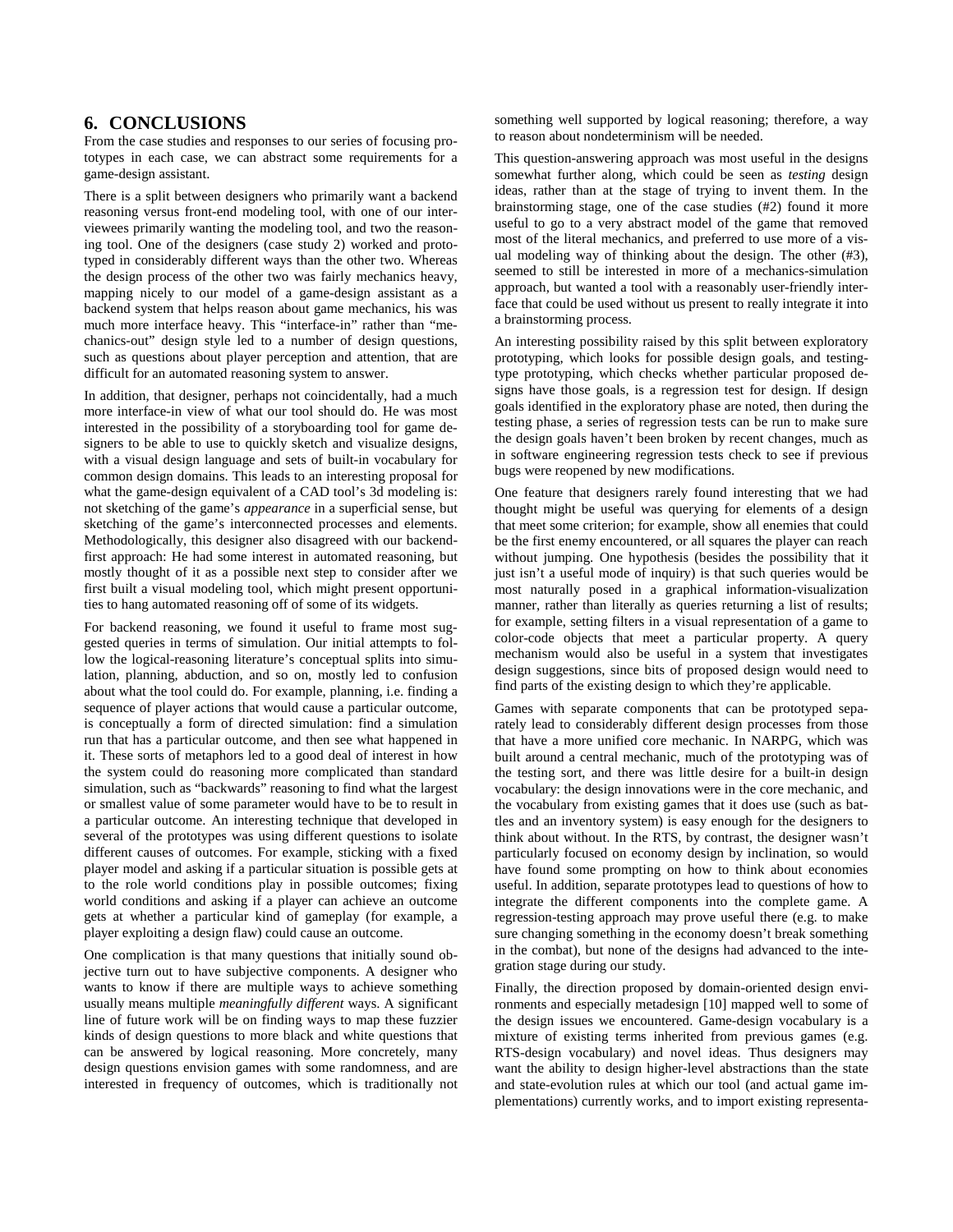#### **6. CONCLUSIONS**

From the case studies and responses to our series of focusing prototypes in each case, we can abstract some requirements for a game-design assistant.

There is a split between designers who primarily want a backend reasoning versus front-end modeling tool, with one of our interviewees primarily wanting the modeling tool, and two the reasoning tool. One of the designers (case study 2) worked and prototyped in considerably different ways than the other two. Whereas the design process of the other two was fairly mechanics heavy, mapping nicely to our model of a game-design assistant as a backend system that helps reason about game mechanics, his was much more interface heavy. This "interface-in" rather than "mechanics-out" design style led to a number of design questions, such as questions about player perception and attention, that are difficult for an automated reasoning system to answer.

In addition, that designer, perhaps not coincidentally, had a much more interface-in view of what our tool should do. He was most interested in the possibility of a storyboarding tool for game designers to be able to use to quickly sketch and visualize designs, with a visual design language and sets of built-in vocabulary for common design domains. This leads to an interesting proposal for what the game-design equivalent of a CAD tool's 3d modeling is: not sketching of the game's *appearance* in a superficial sense, but sketching of the game's interconnected processes and elements. Methodologically, this designer also disagreed with our backendfirst approach: He had some interest in automated reasoning, but mostly thought of it as a possible next step to consider after we first built a visual modeling tool, which might present opportunities to hang automated reasoning off of some of its widgets.

For backend reasoning, we found it useful to frame most suggested queries in terms of simulation. Our initial attempts to follow the logical-reasoning literature's conceptual splits into simulation, planning, abduction, and so on, mostly led to confusion about what the tool could do. For example, planning, i.e. finding a sequence of player actions that would cause a particular outcome, is conceptually a form of directed simulation: find a simulation run that has a particular outcome, and then see what happened in it. These sorts of metaphors led to a good deal of interest in how the system could do reasoning more complicated than standard simulation, such as "backwards" reasoning to find what the largest or smallest value of some parameter would have to be to result in a particular outcome. An interesting technique that developed in several of the prototypes was using different questions to isolate different causes of outcomes. For example, sticking with a fixed player model and asking if a particular situation is possible gets at to the role world conditions play in possible outcomes; fixing world conditions and asking if a player can achieve an outcome gets at whether a particular kind of gameplay (for example, a player exploiting a design flaw) could cause an outcome.

One complication is that many questions that initially sound objective turn out to have subjective components. A designer who wants to know if there are multiple ways to achieve something usually means multiple *meaningfully different* ways. A significant line of future work will be on finding ways to map these fuzzier kinds of design questions to more black and white questions that can be answered by logical reasoning. More concretely, many design questions envision games with some randomness, and are interested in frequency of outcomes, which is traditionally not

something well supported by logical reasoning; therefore, a way to reason about nondeterminism will be needed.

This question-answering approach was most useful in the designs somewhat further along, which could be seen as *testing* design ideas, rather than at the stage of trying to invent them. In the brainstorming stage, one of the case studies (#2) found it more useful to go to a very abstract model of the game that removed most of the literal mechanics, and preferred to use more of a visual modeling way of thinking about the design. The other (#3), seemed to still be interested in more of a mechanics-simulation approach, but wanted a tool with a reasonably user-friendly interface that could be used without us present to really integrate it into a brainstorming process.

An interesting possibility raised by this split between exploratory prototyping, which looks for possible design goals, and testingtype prototyping, which checks whether particular proposed designs have those goals, is a regression test for design. If design goals identified in the exploratory phase are noted, then during the testing phase, a series of regression tests can be run to make sure the design goals haven't been broken by recent changes, much as in software engineering regression tests check to see if previous bugs were reopened by new modifications.

One feature that designers rarely found interesting that we had thought might be useful was querying for elements of a design that meet some criterion; for example, show all enemies that could be the first enemy encountered, or all squares the player can reach without jumping. One hypothesis (besides the possibility that it just isn't a useful mode of inquiry) is that such queries would be most naturally posed in a graphical information-visualization manner, rather than literally as queries returning a list of results; for example, setting filters in a visual representation of a game to color-code objects that meet a particular property. A query mechanism would also be useful in a system that investigates design suggestions, since bits of proposed design would need to find parts of the existing design to which they're applicable.

Games with separate components that can be prototyped separately lead to considerably different design processes from those that have a more unified core mechanic. In NARPG, which was built around a central mechanic, much of the prototyping was of the testing sort, and there was little desire for a built-in design vocabulary: the design innovations were in the core mechanic, and the vocabulary from existing games that it does use (such as battles and an inventory system) is easy enough for the designers to think about without. In the RTS, by contrast, the designer wasn't particularly focused on economy design by inclination, so would have found some prompting on how to think about economies useful. In addition, separate prototypes lead to questions of how to integrate the different components into the complete game. A regression-testing approach may prove useful there (e.g. to make sure changing something in the economy doesn't break something in the combat), but none of the designs had advanced to the integration stage during our study.

Finally, the direction proposed by domain-oriented design environments and especially metadesign [10] mapped well to some of the design issues we encountered. Game-design vocabulary is a mixture of existing terms inherited from previous games (e.g. RTS-design vocabulary) and novel ideas. Thus designers may want the ability to design higher-level abstractions than the state and state-evolution rules at which our tool (and actual game implementations) currently works, and to import existing representa